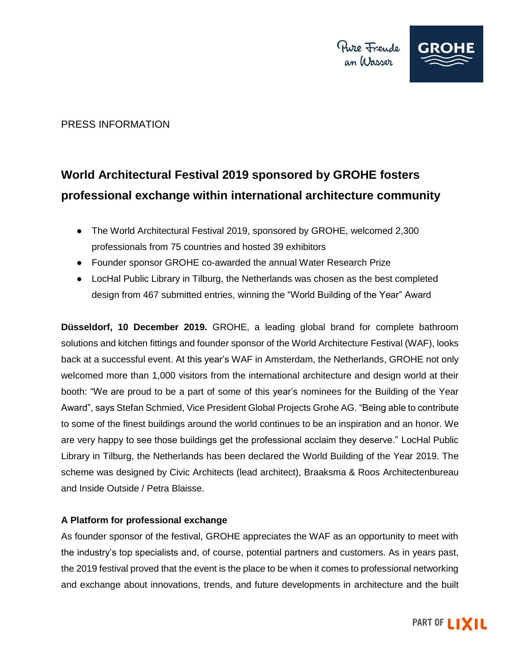

# PRESS INFORMATION

# **World Architectural Festival 2019 sponsored by GROHE fosters professional exchange within international architecture community**

- The World Architectural Festival 2019, sponsored by GROHE, welcomed 2,300 professionals from 75 countries and hosted 39 exhibitors
- Founder sponsor GROHE co-awarded the annual Water Research Prize
- LocHal Public Library in Tilburg, the Netherlands was chosen as the best completed design from 467 submitted entries, winning the "World Building of the Year" Award

**Düsseldorf, 10 December 2019.** GROHE, a leading global brand for complete bathroom solutions and kitchen fittings and founder sponsor of the World Architecture Festival (WAF), looks back at a successful event. At this year's WAF in Amsterdam, the Netherlands, GROHE not only welcomed more than 1,000 visitors from the international architecture and design world at their booth: "We are proud to be a part of some of this year's nominees for the Building of the Year Award", says Stefan Schmied, Vice President Global Projects Grohe AG. "Being able to contribute to some of the finest buildings around the world continues to be an inspiration and an honor. We are very happy to see those buildings get the professional acclaim they deserve." LocHal Public Library in Tilburg, the Netherlands has been declared the World Building of the Year 2019. The scheme was designed by Civic Architects (lead architect), Braaksma & Roos Architectenbureau and Inside Outside / Petra Blaisse.

# **A Platform for professional exchange**

As founder sponsor of the festival, GROHE appreciates the WAF as an opportunity to meet with the industry's top specialists and, of course, potential partners and customers. As in years past, the 2019 festival proved that the event is the place to be when it comes to professional networking and exchange about innovations, trends, and future developments in architecture and the built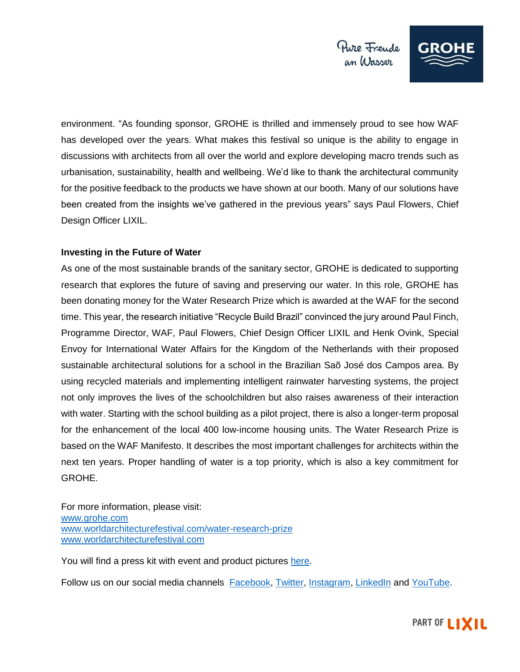

environment. "As founding sponsor, GROHE is thrilled and immensely proud to see how WAF has developed over the years. What makes this festival so unique is the ability to engage in discussions with architects from all over the world and explore developing macro trends such as urbanisation, sustainability, health and wellbeing. We'd like to thank the architectural community for the positive feedback to the products we have shown at our booth. Many of our solutions have been created from the insights we've gathered in the previous years" says Paul Flowers, Chief Design Officer LIXIL.

### **Investing in the Future of Water**

As one of the most sustainable brands of the sanitary sector, GROHE is dedicated to supporting research that explores the future of saving and preserving our water. In this role, GROHE has been donating money for the Water Research Prize which is awarded at the WAF for the second time. This year, the research initiative "Recycle Build Brazil" convinced the jury around Paul Finch, Programme Director, WAF, Paul Flowers, Chief Design Officer LIXIL and Henk Ovink, Special Envoy for International Water Affairs for the Kingdom of the Netherlands with their proposed sustainable architectural solutions for a school in the Brazilian Saõ José dos Campos area. By using recycled materials and implementing intelligent rainwater harvesting systems, the project not only improves the lives of the schoolchildren but also raises awareness of their interaction with water. Starting with the school building as a pilot project, there is also a longer-term proposal for the enhancement of the local 400 low-income housing units. The Water Research Prize is based on the WAF Manifesto. It describes the most important challenges for architects within the next ten years. Proper handling of water is a top priority, which is also a key commitment for GROHE.

For more information, please visit: [www.grohe.com](https://www.grohe.com/) [www.worldarchitecturefestival.com/water-research-prize](https://www.worldarchitecturefestival.com/water-research-prize-winner-announcement) [www.worldarchitecturefestival.com](http://www.worldarchitecturefestival.com/)

You will find a press kit with event and product pictures [here.](https://grohegroup-my.sharepoint.com/:f:/g/personal/g185948_grohe_com/EiBVqF79_ONPtTI6TzC-03MBkdPrMZU4zVoLLu-cyXGq7A?e=CcjjQF)

Follow us on our social media channels [Facebook,](https://de-de.facebook.com/GROHE.enjoywater/) [Twitter,](https://twitter.com/grohe) [Instagram,](https://www.instagram.com/grohe_global/?hl=en) [LinkedIn](https://www.linkedin.com/company/17888/) an[d YouTube.](https://www.youtube.com/c/GROHE)